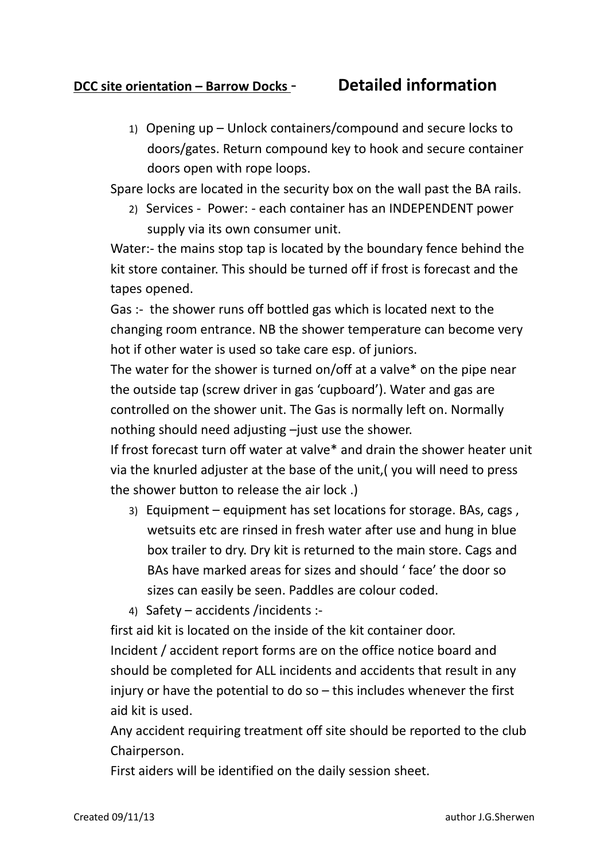## **DCC site orientation – Barrow Docks** - **Detailed information**

1) Opening up – Unlock containers/compound and secure locks to doors/gates. Return compound key to hook and secure container doors open with rope loops.

Spare locks are located in the security box on the wall past the BA rails.

2) Services - Power: - each container has an INDEPENDENT power supply via its own consumer unit.

Water:- the mains stop tap is located by the boundary fence behind the kit store container. This should be turned off if frost is forecast and the tapes opened.

Gas :- the shower runs off bottled gas which is located next to the changing room entrance. NB the shower temperature can become very hot if other water is used so take care esp. of juniors.

The water for the shower is turned on/off at a valve\* on the pipe near the outside tap (screw driver in gas 'cupboard'). Water and gas are controlled on the shower unit. The Gas is normally left on. Normally nothing should need adjusting –just use the shower.

If frost forecast turn off water at valve\* and drain the shower heater unit via the knurled adjuster at the base of the unit,( you will need to press the shower button to release the air lock .)

- 3) Equipment equipment has set locations for storage. BAs, cags , wetsuits etc are rinsed in fresh water after use and hung in blue box trailer to dry. Dry kit is returned to the main store. Cags and BAs have marked areas for sizes and should ' face' the door so sizes can easily be seen. Paddles are colour coded.
- 4) Safety accidents /incidents :-

first aid kit is located on the inside of the kit container door. Incident / accident report forms are on the office notice board and should be completed for ALL incidents and accidents that result in any injury or have the potential to do so – this includes whenever the first aid kit is used.

Any accident requiring treatment off site should be reported to the club Chairperson.

First aiders will be identified on the daily session sheet.